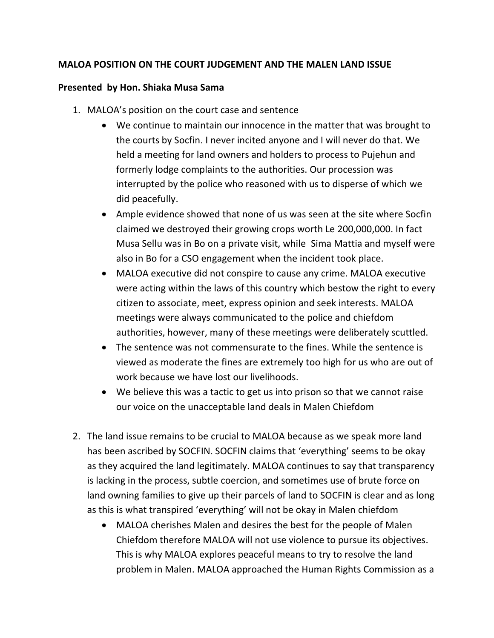## **MALOA POSITION ON THE COURT JUDGEMENT AND THE MALEN LAND ISSUE**

## **Presented by Hon. Shiaka Musa Sama**

- 1. MALOA's position on the court case and sentence
	- We continue to maintain our innocence in the matter that was brought to the courts by Socfin. I never incited anyone and I will never do that. We held a meeting for land owners and holders to process to Pujehun and formerly lodge complaints to the authorities. Our procession was interrupted by the police who reasoned with us to disperse of which we did peacefully.
	- Ample evidence showed that none of us was seen at the site where Socfin claimed we destroyed their growing crops worth Le 200,000,000. In fact Musa Sellu was in Bo on a private visit, while Sima Mattia and myself were also in Bo for a CSO engagement when the incident took place.
	- MALOA executive did not conspire to cause any crime. MALOA executive were acting within the laws of this country which bestow the right to every citizen to associate, meet, express opinion and seek interests. MALOA meetings were always communicated to the police and chiefdom authorities, however, many of these meetings were deliberately scuttled.
	- The sentence was not commensurate to the fines. While the sentence is viewed as moderate the fines are extremely too high for us who are out of work because we have lost our livelihoods.
	- We believe this was a tactic to get us into prison so that we cannot raise our voice on the unacceptable land deals in Malen Chiefdom
- 2. The land issue remains to be crucial to MALOA because as we speak more land has been ascribed by SOCFIN. SOCFIN claims that 'everything' seems to be okay as they acquired the land legitimately. MALOA continues to say that transparency is lacking in the process, subtle coercion, and sometimes use of brute force on land owning families to give up their parcels of land to SOCFIN is clear and as long as this is what transpired 'everything' will not be okay in Malen chiefdom
	- MALOA cherishes Malen and desires the best for the people of Malen Chiefdom therefore MALOA will not use violence to pursue its objectives. This is why MALOA explores peaceful means to try to resolve the land problem in Malen. MALOA approached the Human Rights Commission as a